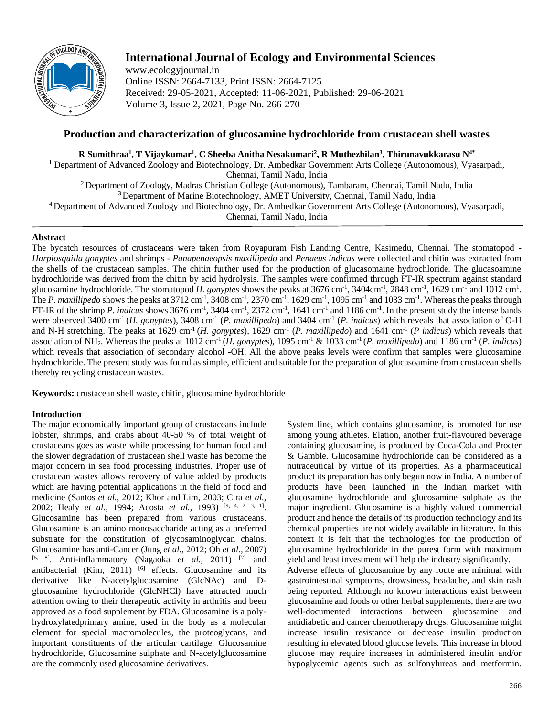

# **International Journal of Ecology and Environmental Sciences**

www.ecologyjournal.in Online ISSN: 2664-7133, Print ISSN: 2664-7125 Received: 29-05-2021, Accepted: 11-06-2021, Published: 29-06-2021 Volume 3, Issue 2, 2021, Page No. 266-270

## **Production and characterization of glucosamine hydrochloride from crustacean shell wastes**

**R Sumithraa<sup>1</sup> , T Vijaykumar<sup>1</sup> , C Sheeba Anitha Nesakumari<sup>2</sup> , R Muthezhilan<sup>3</sup> , Thirunavukkarasu N4\***

<sup>1</sup> Department of Advanced Zoology and Biotechnology, Dr. Ambedkar Government Arts College (Autonomous), Vyasarpadi, Chennai, Tamil Nadu, India

Department of Zoology, Madras Christian College (Autonomous), Tambaram, Chennai, Tamil Nadu, India Department of Marine Biotechnology, AMET University, Chennai, Tamil Nadu, India Department of Advanced Zoology and Biotechnology, Dr. Ambedkar Government Arts College (Autonomous), Vyasarpadi, Chennai, Tamil Nadu, India

## **Abstract**

The bycatch resources of crustaceans were taken from Royapuram Fish Landing Centre, Kasimedu, Chennai. The stomatopod - *Harpiosquilla gonyptes* and shrimps - *Panapenaeopsis maxillipedo* and *Penaeus indicus* were collected and chitin was extracted from the shells of the crustacean samples. The chitin further used for the production of glucasomaine hydrochloride. The glucasoamine hydrochloride was derived from the chitin by acid hydrolysis. The samples were confirmed through FT-IR spectrum against standard glucosamine hydrochloride. The stomatopod *H. gonyptes* shows the peaks at  $3676 \text{ cm}^{-1}$ ,  $3404 \text{cm}^{-1}$ ,  $2848 \text{ cm}^{-1}$ ,  $1629 \text{ cm}^{-1}$  and  $1012 \text{ cm}^{-1}$ . The *P. maxillipedo* shows the peaks at 3712 cm<sup>-1</sup>, 3408 cm<sup>-1</sup>, 2370 cm<sup>-1</sup>, 1629 cm<sup>-1</sup>, 1095 cm<sup>-1</sup> and 1033 cm<sup>-1</sup>. Whereas the peaks through FT-IR of the shrimp *P. indicus* shows  $3676 \text{ cm}^{-1}$ ,  $3404 \text{ cm}^{-1}$ ,  $2372 \text{ cm}^{-1}$ ,  $1641 \text{ cm}^{-1}$  and  $1186 \text{ cm}^{-1}$ . In the present study the intense bands were observed 3400 cm<sup>-1</sup> (*H. gonyptes*), 3408 cm<sup>-1</sup> (*P. maxillipedo*) and 3404 cm<sup>-1</sup> (*P. indicus*) which reveals that association of O-H and N-H stretching. The peaks at 1629 cm<sup>-1</sup> (*H. gonyptes*), 1629 cm<sup>-1</sup> (*P. maxillipedo*) and 1641 cm<sup>-1</sup> (*P indicus*) which reveals that association of NH<sub>2</sub>. Whereas the peaks at 1012 cm<sup>-1</sup> (*H. gonyptes*), 1095 cm<sup>-1</sup> & 1033 cm<sup>-1</sup> (*P. maxillipedo*) and 1186 cm<sup>-1</sup> (*P. indicus*) which reveals that association of secondary alcohol -OH. All the above peaks levels were confirm that samples were glucosamine hydrochloride. The present study was found as simple, efficient and suitable for the preparation of glucasoamine from crustacean shells thereby recycling crustacean wastes.

**Keywords:** crustacean shell waste, chitin, glucosamine hydrochloride

## **Introduction**

The major economically important group of crustaceans include lobster, shrimps, and crabs about 40-50 % of total weight of crustaceans goes as waste while processing for human food and the slower degradation of crustacean shell waste has become the major concern in sea food processing industries. Proper use of crustacean wastes allows recovery of value added by products which are having potential applications in the field of food and medicine (Santos *et al.,* 2012; Khor and Lim, 2003; Cira *et al.,* 2002; Healy *et al.,* 1994; Acosta *et al.,* 1993) [9, 4, 2, 3, 1] . Glucosamine has been prepared from various crustaceans. Glucosamine is an amino monosaccharide acting as a preferred substrate for the constitution of glycosaminoglycan chains. Glucosamine has anti-Cancer (Jung *et al.,* 2012; Oh *et al.,* 2007) [5, 8] . Anti-inflammatory (Nagaoka *et al.,* 2011) [7] and antibacterial (Kim, 2011)  $[6]$  effects. Glucosamine and its derivative like N-acetylglucosamine (GlcNAc) and Dglucosamine hydrochloride (GlcNHCl) have attracted much attention owing to their therapeutic activity in arthritis and been approved as a food supplement by FDA. Glucosamine is a polyhydroxylatedprimary amine, used in the body as a molecular element for special macromolecules, the proteoglycans, and important constituents of the articular cartilage. Glucosamine hydrochloride, Glucosamine sulphate and N-acetylglucosamine are the commonly used glucosamine derivatives.

System line, which contains glucosamine, is promoted for use among young athletes. Elation, another fruit-flavoured beverage containing glucosamine, is produced by Coca-Cola and Procter & Gamble. Glucosamine hydrochloride can be considered as a nutraceutical by virtue of its properties. As a pharmaceutical product its preparation has only begun now in India. A number of products have been launched in the Indian market with glucosamine hydrochloride and glucosamine sulphate as the major ingredient. Glucosamine is a highly valued commercial product and hence the details of its production technology and its chemical properties are not widely available in literature. In this context it is felt that the technologies for the production of glucosamine hydrochloride in the purest form with maximum yield and least investment will help the industry significantly. Adverse effects of glucosamine by any route are minimal with gastrointestinal symptoms, drowsiness, headache, and skin rash being reported. Although no known interactions exist between glucosamine and foods or other herbal supplements, there are two well-documented interactions between glucosamine and antidiabetic and cancer chemotherapy drugs. Glucosamine might

increase insulin resistance or decrease insulin production resulting in elevated blood glucose levels. This increase in blood glucose may require increases in administered insulin and/or hypoglycemic agents such as sulfonylureas and metformin.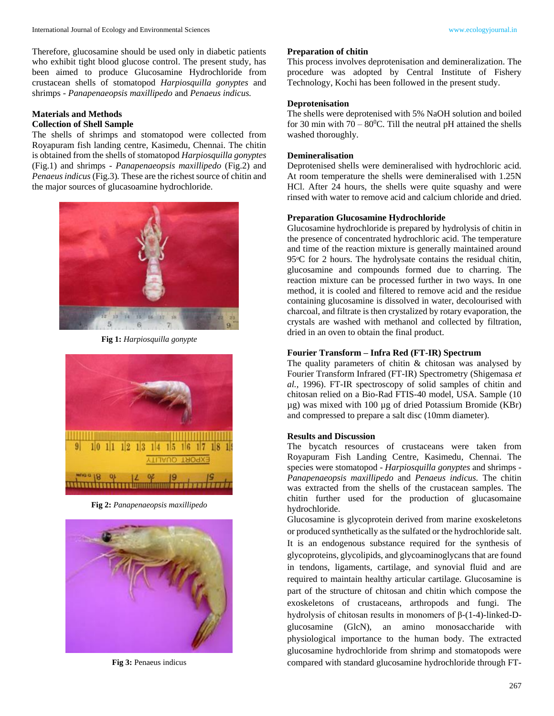Therefore, glucosamine should be used only in diabetic patients who exhibit tight blood glucose control. The present study, has been aimed to produce Glucosamine Hydrochloride from crustacean shells of stomatopod *Harpiosquilla gonyptes* and shrimps - *Panapenaeopsis maxillipedo* and *Penaeus indicus.*

## **Materials and Methods Collection of Shell Sample**

The shells of shrimps and stomatopod were collected from Royapuram fish landing centre, Kasimedu, Chennai. The chitin is obtained from the shells of stomatopod *Harpiosquilla gonyptes* (Fig.1) and shrimps - *Panapenaeopsis maxillipedo* (Fig.2) and *Penaeus indicus* (Fig.3)*.* These are the richest source of chitin and the major sources of glucasoamine hydrochloride.



**Fig 1:** *Harpiosquilla gonypte*



**Fig 2:** *Panapenaeopsis maxillipedo*



**Fig 3:** Penaeus indicus

#### **Preparation of chitin**

This process involves deprotenisation and demineralization. The procedure was adopted by Central Institute of Fishery Technology, Kochi has been followed in the present study.

## **Deprotenisation**

The shells were deprotenised with 5% NaOH solution and boiled for 30 min with  $70 - 80^{\circ}$ C. Till the neutral pH attained the shells washed thoroughly.

## **Demineralisation**

Deprotenised shells were demineralised with hydrochloric acid. At room temperature the shells were demineralised with 1.25N HCl. After 24 hours, the shells were quite squashy and were rinsed with water to remove acid and calcium chloride and dried.

## **Preparation Glucosamine Hydrochloride**

Glucosamine hydrochloride is prepared by hydrolysis of chitin in the presence of concentrated hydrochloric acid. The temperature and time of the reaction mixture is generally maintained around 95<sup>o</sup>C for 2 hours. The hydrolysate contains the residual chitin, glucosamine and compounds formed due to charring. The reaction mixture can be processed further in two ways. In one method, it is cooled and filtered to remove acid and the residue containing glucosamine is dissolved in water, decolourised with charcoal, and filtrate is then crystalized by rotary evaporation, the crystals are washed with methanol and collected by filtration, dried in an oven to obtain the final product.

## **Fourier Transform – Infra Red (FT-IR) Spectrum**

The quality parameters of chitin & chitosan was analysed by Fourier Transform Infrared (FT-IR) Spectrometry (Shigemasa *et al.,* 1996). FT-IR spectroscopy of solid samples of chitin and chitosan relied on a Bio-Rad FTIS-40 model, USA. Sample (10 µg) was mixed with 100 µg of dried Potassium Bromide (KBr) and compressed to prepare a salt disc (10mm diameter).

#### **Results and Discussion**

The bycatch resources of crustaceans were taken from Royapuram Fish Landing Centre, Kasimedu, Chennai. The species were stomatopod - *Harpiosquilla gonyptes* and shrimps - *Panapenaeopsis maxillipedo* and *Penaeus indicus.* The chitin was extracted from the shells of the crustacean samples. The chitin further used for the production of glucasomaine hydrochloride.

Glucosamine is glycoprotein derived from marine exoskeletons or produced synthetically as the sulfated or the hydrochloride salt. It is an endogenous substance required for the synthesis of glycoproteins, glycolipids, and glycoaminoglycans that are found in tendons, ligaments, cartilage, and synovial fluid and are required to maintain healthy articular cartilage. Glucosamine is part of the structure of chitosan and chitin which compose the exoskeletons of crustaceans, arthropods and fungi. The hydrolysis of chitosan results in monomers of β-(1-4)-linked-Dglucosamine (GlcN), an amino monosaccharide with physiological importance to the human body. The extracted glucosamine hydrochloride from shrimp and stomatopods were compared with standard glucosamine hydrochloride through FT-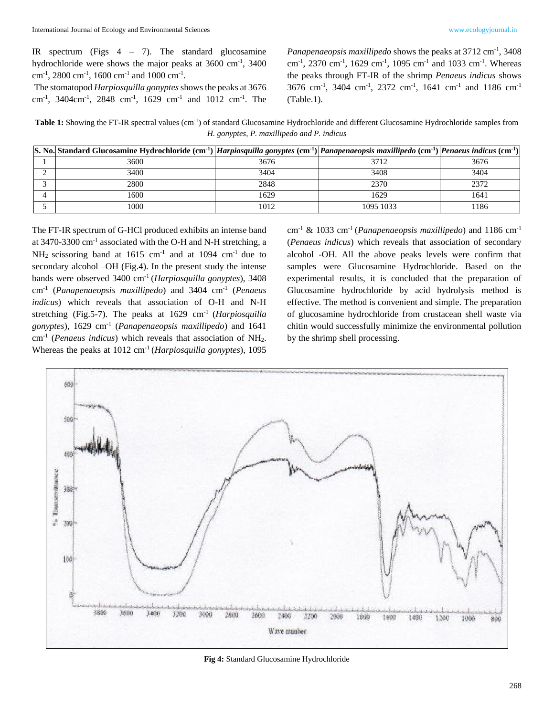IR spectrum (Figs  $4 - 7$ ). The standard glucosamine hydrochloride were shows the major peaks at 3600 cm<sup>-1</sup>, 3400 cm<sup>-1</sup>, 2800 cm<sup>-1</sup>, 1600 cm<sup>-1</sup> and 1000 cm<sup>-1</sup>.

The stomatopod *Harpiosquilla gonyptes*shows the peaks at 3676 cm<sup>-1</sup>, 3404cm<sup>-1</sup>, 2848 cm<sup>-1</sup>, 1629 cm<sup>-1</sup> and 1012 cm<sup>-1</sup>. The

Panapenaeopsis maxillipedo shows the peaks at 3712 cm<sup>-1</sup>, 3408 cm<sup>-1</sup>, 2370 cm<sup>-1</sup>, 1629 cm<sup>-1</sup>, 1095 cm<sup>-1</sup> and 1033 cm<sup>-1</sup>. Whereas the peaks through FT-IR of the shrimp *Penaeus indicus* shows 3676 cm<sup>-1</sup>, 3404 cm<sup>-1</sup>, 2372 cm<sup>-1</sup>, 1641 cm<sup>-1</sup> and 1186 cm<sup>-1</sup> (Table.1).

Table 1: Showing the FT-IR spectral values (cm<sup>-1</sup>) of standard Glucosamine Hydrochloride and different Glucosamine Hydrochloride samples from *H. gonyptes, P. maxillipedo and P. indicus*

| S. No. Standard Glucosamine Hydrochloride $(cm^{-1})$ Harpiosquilla gonyptes $(cm^{-1})$ Panapenaeopsis maxillipedo $(cm^{-1})$ Penaeus indicus $(cm^{-1})$ |      |           |      |
|-------------------------------------------------------------------------------------------------------------------------------------------------------------|------|-----------|------|
| 3600                                                                                                                                                        | 3676 | 3712      | 3676 |
| 3400                                                                                                                                                        | 3404 | 3408      | 3404 |
| 2800                                                                                                                                                        | 2848 | 2370      | 2372 |
| 1600.                                                                                                                                                       | 1629 | 1629      | 1641 |
| 1000                                                                                                                                                        | 1012 | 1095 1033 | 1186 |

The FT-IR spectrum of G-HCl produced exhibits an intense band at 3470-3300 cm<sup>-1</sup> associated with the O-H and N-H stretching, a  $NH_2$  scissoring band at 1615 cm<sup>-1</sup> and at 1094 cm<sup>-1</sup> due to secondary alcohol –OH (Fig.4). In the present study the intense bands were observed 3400 cm-1 (*Harpiosquilla gonyptes*), 3408 cm-1 (*Panapenaeopsis maxillipedo*) and 3404 cm-1 (*Penaeus indicus*) which reveals that association of O-H and N-H stretching (Fig.5-7). The peaks at 1629 cm-1 (*Harpiosquilla gonyptes*), 1629 cm-1 (*Panapenaeopsis maxillipedo*) and 1641 cm-1 (*Penaeus indicus*) which reveals that association of NH2. Whereas the peaks at 1012 cm-1 (*Harpiosquilla gonyptes*), 1095

cm-1 & 1033 cm-1 (*Panapenaeopsis maxillipedo*) and 1186 cm-1 (*Penaeus indicus*) which reveals that association of secondary alcohol -OH. All the above peaks levels were confirm that samples were Glucosamine Hydrochloride. Based on the experimental results, it is concluded that the preparation of Glucosamine hydrochloride by acid hydrolysis method is effective. The method is convenient and simple. The preparation of glucosamine hydrochloride from crustacean shell waste via chitin would successfully minimize the environmental pollution by the shrimp shell processing.



**Fig 4:** Standard Glucosamine Hydrochloride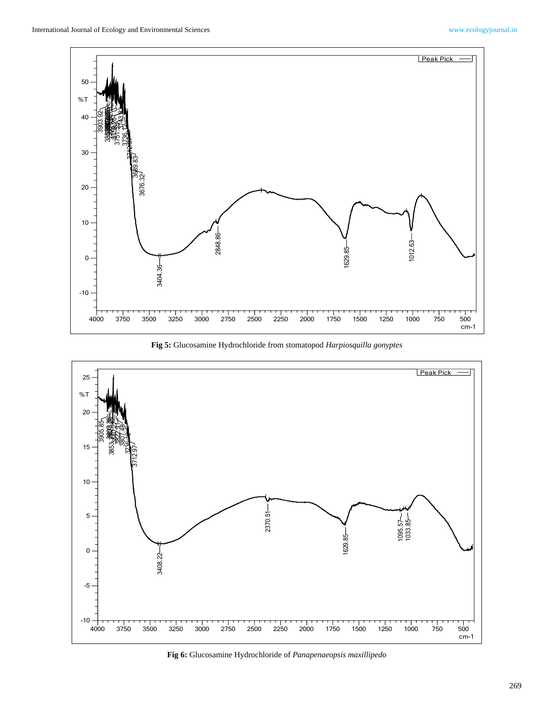

**Fig 5:** Glucosamine Hydrochloride from stomatopod *Harpiosquilla gonyptes*



**Fig 6:** Glucosamine Hydrochloride of *Panapenaeopsis maxillipedo*